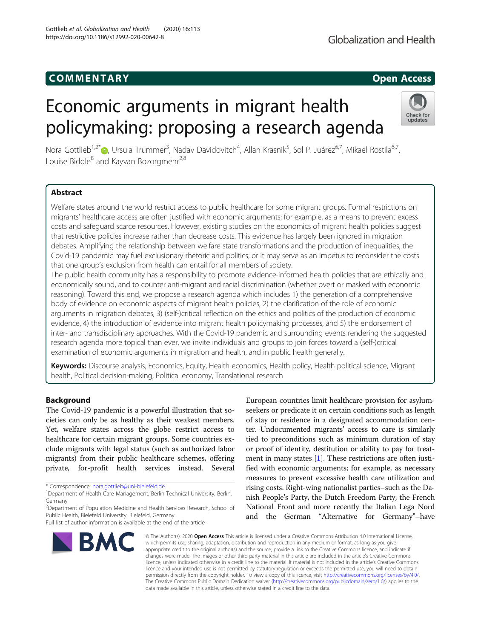# COMM EN TARY Open Access

# Economic arguments in migrant health policymaking: proposing a research agenda

Nora Gottlieb<sup>1[,](http://orcid.org/0000-0001-9199-2321)2\*</sup>®, Ursula Trummer<sup>3</sup>, Nadav Davidovitch<sup>4</sup>, Allan Krasnik<sup>5</sup>, Sol P. Juárez<sup>6,7</sup>, Mikael Rostila<sup>6,7</sup>, Louise Biddle<sup>8</sup> and Kayvan Bozorgmehr<sup>2,8</sup>

# Abstract

Welfare states around the world restrict access to public healthcare for some migrant groups. Formal restrictions on migrants' healthcare access are often justified with economic arguments; for example, as a means to prevent excess costs and safeguard scarce resources. However, existing studies on the economics of migrant health policies suggest that restrictive policies increase rather than decrease costs. This evidence has largely been ignored in migration debates. Amplifying the relationship between welfare state transformations and the production of inequalities, the Covid-19 pandemic may fuel exclusionary rhetoric and politics; or it may serve as an impetus to reconsider the costs that one group's exclusion from health can entail for all members of society.

The public health community has a responsibility to promote evidence-informed health policies that are ethically and economically sound, and to counter anti-migrant and racial discrimination (whether overt or masked with economic reasoning). Toward this end, we propose a research agenda which includes 1) the generation of a comprehensive body of evidence on economic aspects of migrant health policies, 2) the clarification of the role of economic arguments in migration debates, 3) (self-)critical reflection on the ethics and politics of the production of economic evidence, 4) the introduction of evidence into migrant health policymaking processes, and 5) the endorsement of inter- and transdisciplinary approaches. With the Covid-19 pandemic and surrounding events rendering the suggested research agenda more topical than ever, we invite individuals and groups to join forces toward a (self-)critical examination of economic arguments in migration and health, and in public health generally.

Keywords: Discourse analysis, Economics, Equity, Health economics, Health policy, Health political science, Migrant health, Political decision-making, Political economy, Translational research

# Background

The Covid-19 pandemic is a powerful illustration that societies can only be as healthy as their weakest members. Yet, welfare states across the globe restrict access to healthcare for certain migrant groups. Some countries exclude migrants with legal status (such as authorized labor migrants) from their public healthcare schemes, offering private, for-profit health services instead. Several

\* Correspondence: [nora.gottlieb@uni-bielefeld.de](mailto:nora.gottlieb@uni-bielefeld.de) <sup>1</sup>

<sup>2</sup>Department of Population Medicine and Health Services Research, School of Public Health, Bielefeld University, Bielefeld, Germany

European countries limit healthcare provision for asylumseekers or predicate it on certain conditions such as length of stay or residence in a designated accommodation center. Undocumented migrants' access to care is similarly tied to preconditions such as minimum duration of stay or proof of identity, destitution or ability to pay for treat-ment in many states [\[1](#page-4-0)]. These restrictions are often justified with economic arguments; for example, as necessary measures to prevent excessive health care utilization and rising costs. Right-wing nationalist parties–such as the Danish People's Party, the Dutch Freedom Party, the French National Front and more recently the Italian Lega Nord and the German "Alternative for Germany"–have

© The Author(s), 2020 **Open Access** This article is licensed under a Creative Commons Attribution 4.0 International License, which permits use, sharing, adaptation, distribution and reproduction in any medium or format, as long as you give appropriate credit to the original author(s) and the source, provide a link to the Creative Commons licence, and indicate if changes were made. The images or other third party material in this article are included in the article's Creative Commons licence, unless indicated otherwise in a credit line to the material. If material is not included in the article's Creative Commons licence and your intended use is not permitted by statutory regulation or exceeds the permitted use, you will need to obtain permission directly from the copyright holder. To view a copy of this licence, visit [http://creativecommons.org/licenses/by/4.0/.](http://creativecommons.org/licenses/by/4.0/) The Creative Commons Public Domain Dedication waiver [\(http://creativecommons.org/publicdomain/zero/1.0/](http://creativecommons.org/publicdomain/zero/1.0/)) applies to the data made available in this article, unless otherwise stated in a credit line to the data.

**BMC** 







<sup>&</sup>lt;sup>1</sup>Department of Health Care Management, Berlin Technical University, Berlin, Germany

Full list of author information is available at the end of the article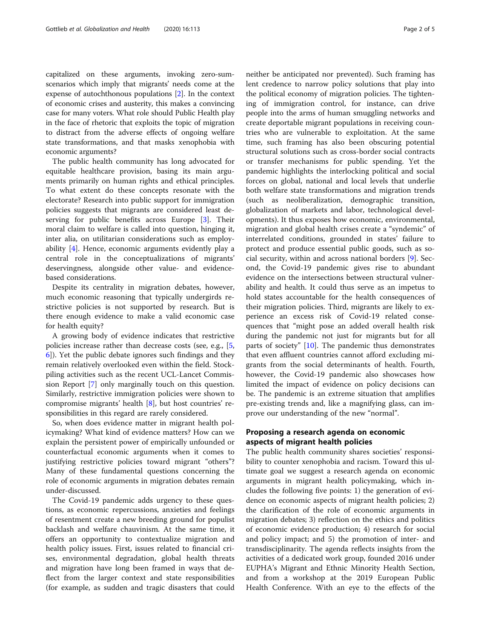capitalized on these arguments, invoking zero-sumscenarios which imply that migrants' needs come at the expense of autochthonous populations [\[2](#page-4-0)]. In the context of economic crises and austerity, this makes a convincing case for many voters. What role should Public Health play in the face of rhetoric that exploits the topic of migration to distract from the adverse effects of ongoing welfare state transformations, and that masks xenophobia with economic arguments?

The public health community has long advocated for equitable healthcare provision, basing its main arguments primarily on human rights and ethical principles. To what extent do these concepts resonate with the electorate? Research into public support for immigration policies suggests that migrants are considered least deserving for public benefits across Europe [\[3](#page-4-0)]. Their moral claim to welfare is called into question, hinging it, inter alia, on utilitarian considerations such as employability [\[4](#page-4-0)]. Hence, economic arguments evidently play a central role in the conceptualizations of migrants' deservingness, alongside other value- and evidencebased considerations.

Despite its centrality in migration debates, however, much economic reasoning that typically undergirds restrictive policies is not supported by research. But is there enough evidence to make a valid economic case for health equity?

A growing body of evidence indicates that restrictive policies increase rather than decrease costs (see, e.g., [\[5](#page-4-0), [6\]](#page-4-0)). Yet the public debate ignores such findings and they remain relatively overlooked even within the field. Stockpiling activities such as the recent UCL-Lancet Commission Report [\[7](#page-4-0)] only marginally touch on this question. Similarly, restrictive immigration policies were shown to compromise migrants' health [[8\]](#page-4-0), but host countries' responsibilities in this regard are rarely considered.

So, when does evidence matter in migrant health policymaking? What kind of evidence matters? How can we explain the persistent power of empirically unfounded or counterfactual economic arguments when it comes to justifying restrictive policies toward migrant "others"? Many of these fundamental questions concerning the role of economic arguments in migration debates remain under-discussed.

The Covid-19 pandemic adds urgency to these questions, as economic repercussions, anxieties and feelings of resentment create a new breeding ground for populist backlash and welfare chauvinism. At the same time, it offers an opportunity to contextualize migration and health policy issues. First, issues related to financial crises, environmental degradation, global health threats and migration have long been framed in ways that deflect from the larger context and state responsibilities (for example, as sudden and tragic disasters that could

neither be anticipated nor prevented). Such framing has lent credence to narrow policy solutions that play into the political economy of migration policies. The tightening of immigration control, for instance, can drive people into the arms of human smuggling networks and create deportable migrant populations in receiving countries who are vulnerable to exploitation. At the same time, such framing has also been obscuring potential structural solutions such as cross-border social contracts or transfer mechanisms for public spending. Yet the pandemic highlights the interlocking political and social forces on global, national and local levels that underlie both welfare state transformations and migration trends (such as neoliberalization, demographic transition, globalization of markets and labor, technological developments). It thus exposes how economic, environmental, migration and global health crises create a "syndemic" of interrelated conditions, grounded in states' failure to protect and produce essential public goods, such as social security, within and across national borders [[9\]](#page-4-0). Second, the Covid-19 pandemic gives rise to abundant evidence on the intersections between structural vulnerability and health. It could thus serve as an impetus to hold states accountable for the health consequences of their migration policies. Third, migrants are likely to experience an excess risk of Covid-19 related consequences that "might pose an added overall health risk during the pandemic not just for migrants but for all parts of society" [\[10](#page-4-0)]. The pandemic thus demonstrates that even affluent countries cannot afford excluding migrants from the social determinants of health. Fourth, however, the Covid-19 pandemic also showcases how limited the impact of evidence on policy decisions can be. The pandemic is an extreme situation that amplifies pre-existing trends and, like a magnifying glass, can improve our understanding of the new "normal".

# Proposing a research agenda on economic aspects of migrant health policies

The public health community shares societies' responsibility to counter xenophobia and racism. Toward this ultimate goal we suggest a research agenda on economic arguments in migrant health policymaking, which includes the following five points: 1) the generation of evidence on economic aspects of migrant health policies; 2) the clarification of the role of economic arguments in migration debates; 3) reflection on the ethics and politics of economic evidence production; 4) research for social and policy impact; and 5) the promotion of inter- and transdisciplinarity. The agenda reflects insights from the activities of a dedicated work group, founded 2016 under EUPHA's Migrant and Ethnic Minority Health Section, and from a workshop at the 2019 European Public Health Conference. With an eye to the effects of the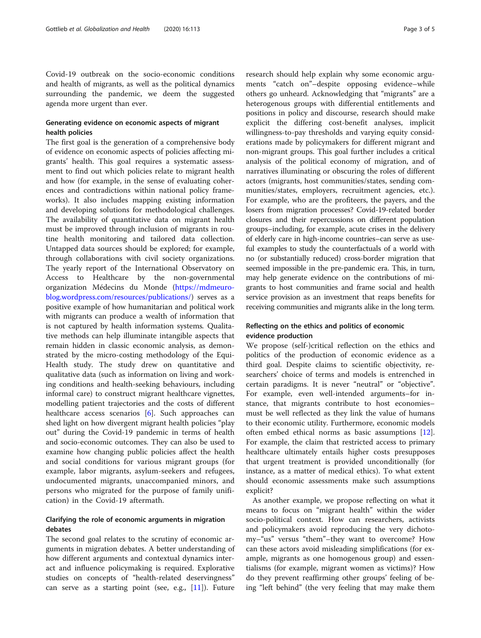Covid-19 outbreak on the socio-economic conditions and health of migrants, as well as the political dynamics surrounding the pandemic, we deem the suggested agenda more urgent than ever.

# Generating evidence on economic aspects of migrant health policies

The first goal is the generation of a comprehensive body of evidence on economic aspects of policies affecting migrants' health. This goal requires a systematic assessment to find out which policies relate to migrant health and how (for example, in the sense of evaluating coherences and contradictions within national policy frameworks). It also includes mapping existing information and developing solutions for methodological challenges. The availability of quantitative data on migrant health must be improved through inclusion of migrants in routine health monitoring and tailored data collection. Untapped data sources should be explored; for example, through collaborations with civil society organizations. The yearly report of the International Observatory on Access to Healthcare by the non-governmental organization Médecins du Monde ([https://mdmeuro](https://mdmeuroblog.wordpress.com/resources/publications/)[blog.wordpress.com/resources/publications/\)](https://mdmeuroblog.wordpress.com/resources/publications/) serves as a positive example of how humanitarian and political work with migrants can produce a wealth of information that is not captured by health information systems. Qualitative methods can help illuminate intangible aspects that remain hidden in classic economic analysis, as demonstrated by the micro-costing methodology of the Equi-Health study. The study drew on quantitative and qualitative data (such as information on living and working conditions and health-seeking behaviours, including informal care) to construct migrant healthcare vignettes, modelling patient trajectories and the costs of different healthcare access scenarios [\[6](#page-4-0)]. Such approaches can shed light on how divergent migrant health policies "play out" during the Covid-19 pandemic in terms of health and socio-economic outcomes. They can also be used to examine how changing public policies affect the health and social conditions for various migrant groups (for example, labor migrants, asylum-seekers and refugees, undocumented migrants, unaccompanied minors, and persons who migrated for the purpose of family unification) in the Covid-19 aftermath.

# Clarifying the role of economic arguments in migration debates

The second goal relates to the scrutiny of economic arguments in migration debates. A better understanding of how different arguments and contextual dynamics interact and influence policymaking is required. Explorative studies on concepts of "health-related deservingness" can serve as a starting point (see, e.g.,  $[11]$  $[11]$ ). Future

research should help explain why some economic arguments "catch on"–despite opposing evidence–while others go unheard. Acknowledging that "migrants" are a heterogenous groups with differential entitlements and positions in policy and discourse, research should make explicit the differing cost-benefit analyses, implicit willingness-to-pay thresholds and varying equity considerations made by policymakers for different migrant and non-migrant groups. This goal further includes a critical analysis of the political economy of migration, and of narratives illuminating or obscuring the roles of different actors (migrants, host communities/states, sending communities/states, employers, recruitment agencies, etc.). For example, who are the profiteers, the payers, and the losers from migration processes? Covid-19-related border closures and their repercussions on different population groups–including, for example, acute crises in the delivery of elderly care in high-income countries–can serve as useful examples to study the counterfactuals of a world with no (or substantially reduced) cross-border migration that seemed impossible in the pre-pandemic era. This, in turn, may help generate evidence on the contributions of migrants to host communities and frame social and health service provision as an investment that reaps benefits for receiving communities and migrants alike in the long term.

# Reflecting on the ethics and politics of economic evidence production

We propose (self-)critical reflection on the ethics and politics of the production of economic evidence as a third goal. Despite claims to scientific objectivity, researchers' choice of terms and models is entrenched in certain paradigms. It is never "neutral" or "objective". For example, even well-intended arguments–for instance, that migrants contribute to host economies– must be well reflected as they link the value of humans to their economic utility. Furthermore, economic models often embed ethical norms as basic assumptions [\[12](#page-4-0)]. For example, the claim that restricted access to primary healthcare ultimately entails higher costs presupposes that urgent treatment is provided unconditionally (for instance, as a matter of medical ethics). To what extent should economic assessments make such assumptions explicit?

As another example, we propose reflecting on what it means to focus on "migrant health" within the wider socio-political context. How can researchers, activists and policymakers avoid reproducing the very dichotomy–"us" versus "them"–they want to overcome? How can these actors avoid misleading simplifications (for example, migrants as one homogenous group) and essentialisms (for example, migrant women as victims)? How do they prevent reaffirming other groups' feeling of being "left behind" (the very feeling that may make them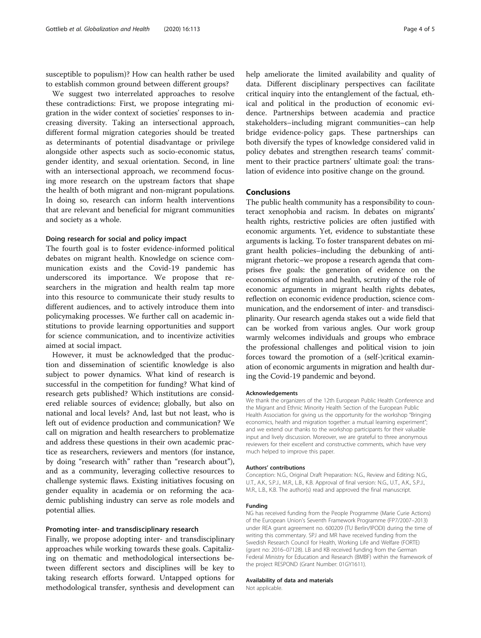susceptible to populism)? How can health rather be used to establish common ground between different groups?

We suggest two interrelated approaches to resolve these contradictions: First, we propose integrating migration in the wider context of societies' responses to increasing diversity. Taking an intersectional approach, different formal migration categories should be treated as determinants of potential disadvantage or privilege alongside other aspects such as socio-economic status, gender identity, and sexual orientation. Second, in line with an intersectional approach, we recommend focusing more research on the upstream factors that shape the health of both migrant and non-migrant populations. In doing so, research can inform health interventions that are relevant and beneficial for migrant communities and society as a whole.

#### Doing research for social and policy impact

The fourth goal is to foster evidence-informed political debates on migrant health. Knowledge on science communication exists and the Covid-19 pandemic has underscored its importance. We propose that researchers in the migration and health realm tap more into this resource to communicate their study results to different audiences, and to actively introduce them into policymaking processes. We further call on academic institutions to provide learning opportunities and support for science communication, and to incentivize activities aimed at social impact.

However, it must be acknowledged that the production and dissemination of scientific knowledge is also subject to power dynamics. What kind of research is successful in the competition for funding? What kind of research gets published? Which institutions are considered reliable sources of evidence; globally, but also on national and local levels? And, last but not least, who is left out of evidence production and communication? We call on migration and health researchers to problematize and address these questions in their own academic practice as researchers, reviewers and mentors (for instance, by doing "research with" rather than "research about"), and as a community, leveraging collective resources to challenge systemic flaws. Existing initiatives focusing on gender equality in academia or on reforming the academic publishing industry can serve as role models and potential allies.

#### Promoting inter- and transdisciplinary research

Finally, we propose adopting inter- and transdisciplinary approaches while working towards these goals. Capitalizing on thematic and methodological intersections between different sectors and disciplines will be key to taking research efforts forward. Untapped options for methodological transfer, synthesis and development can help ameliorate the limited availability and quality of data. Different disciplinary perspectives can facilitate critical inquiry into the entanglement of the factual, ethical and political in the production of economic evidence. Partnerships between academia and practice stakeholders–including migrant communities–can help bridge evidence-policy gaps. These partnerships can both diversify the types of knowledge considered valid in policy debates and strengthen research teams' commitment to their practice partners' ultimate goal: the translation of evidence into positive change on the ground.

## Conclusions

The public health community has a responsibility to counteract xenophobia and racism. In debates on migrants' health rights, restrictive policies are often justified with economic arguments. Yet, evidence to substantiate these arguments is lacking. To foster transparent debates on migrant health policies–including the debunking of antimigrant rhetoric–we propose a research agenda that comprises five goals: the generation of evidence on the economics of migration and health, scrutiny of the role of economic arguments in migrant health rights debates, reflection on economic evidence production, science communication, and the endorsement of inter- and transdisciplinarity. Our research agenda stakes out a wide field that can be worked from various angles. Our work group warmly welcomes individuals and groups who embrace the professional challenges and political vision to join forces toward the promotion of a (self-)critical examination of economic arguments in migration and health during the Covid-19 pandemic and beyond.

#### Acknowledgements

We thank the organizers of the 12th European Public Health Conference and the Migrant and Ethnic Minority Health Section of the European Public Health Association for giving us the opportunity for the workshop "Bringing economics, health and migration together: a mutual learning experiment"; and we extend our thanks to the workshop participants for their valuable input and lively discussion. Moreover, we are grateful to three anonymous reviewers for their excellent and constructive comments, which have very much helped to improve this paper.

#### Authors' contributions

Conception: N.G., Original Draft Preparation: N.G., Review and Editing: N.G., U.T., A.K., S.P.J., M.R., L.B., K.B. Approval of final version: N.G., U.T., A.K., S.P.J., M.R., L.B., K.B. The author(s) read and approved the final manuscript.

#### Funding

NG has received funding from the People Programme (Marie Curie Actions) of the European Union's Seventh Framework Programme (FP7/2007–2013) under REA grant agreement no. 600209 (TU Berlin/IPODI) during the time of writing this commentary. SPJ and MR have received funding from the Swedish Research Council for Health, Working Life and Welfare (FORTE) (grant no: 2016–07128). LB and KB received funding from the German Federal Ministry for Education and Research (BMBF) within the framework of the project RESPOND (Grant Number: 01GY1611).

#### Availability of data and materials

Not applicable.